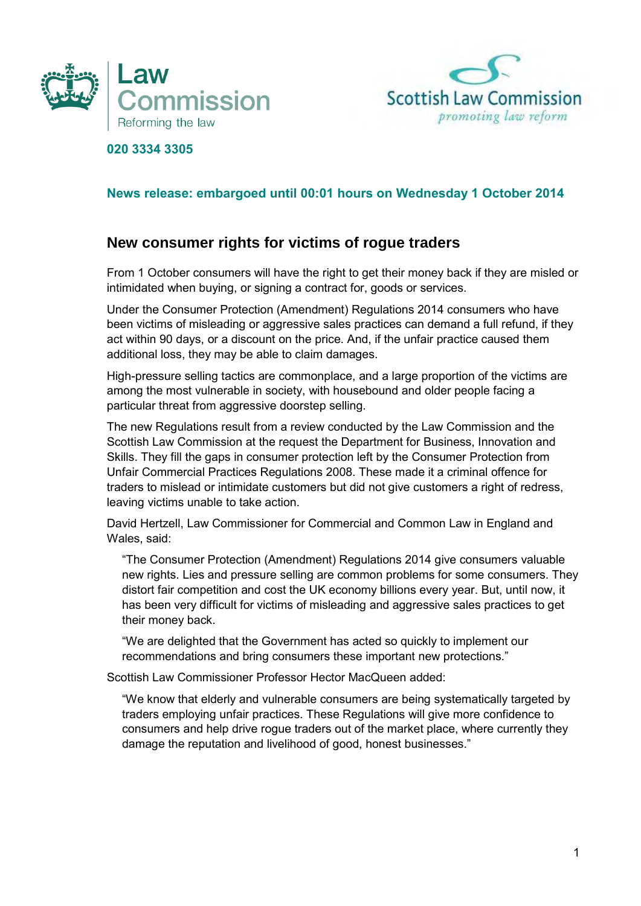



## **020 3334 3305**

## **News release: embargoed until 00:01 hours on Wednesday 1 October 2014**

## **New consumer rights for victims of rogue traders**

 From 1 October consumers will have the right to get their money back if they are misled or intimidated when buying, or signing a contract for, goods or services.

 Under the Consumer Protection (Amendment) Regulations 2014 consumers who have been victims of misleading or aggressive sales practices can demand a full refund, if they act within 90 days, or a discount on the price. And, if the unfair practice caused them additional loss, they may be able to claim damages.

 High-pressure selling tactics are commonplace, and a large proportion of the victims are among the most vulnerable in society, with housebound and older people facing a particular threat from aggressive doorstep selling.

 The new Regulations result from a review conducted by the Law Commission and the Scottish Law Commission at the request the Department for Business, Innovation and Skills. They fill the gaps in consumer protection left by the Consumer Protection from Unfair Commercial Practices Regulations 2008. These made it a criminal offence for traders to mislead or intimidate customers but did not give customers a right of redress, leaving victims unable to take action.

 David Hertzell, Law Commissioner for Commercial and Common Law in England and Wales, said:

 "The Consumer Protection (Amendment) Regulations 2014 give consumers valuable new rights. Lies and pressure selling are common problems for some consumers. They distort fair competition and cost the UK economy billions every year. But, until now, it has been very difficult for victims of misleading and aggressive sales practices to get their money back.

 "We are delighted that the Government has acted so quickly to implement our recommendations and bring consumers these important new protections."

Scottish Law Commissioner Professor Hector MacQueen added:

 "We know that elderly and vulnerable consumers are being systematically targeted by traders employing unfair practices. These Regulations will give more confidence to consumers and help drive rogue traders out of the market place, where currently they damage the reputation and livelihood of good, honest businesses."